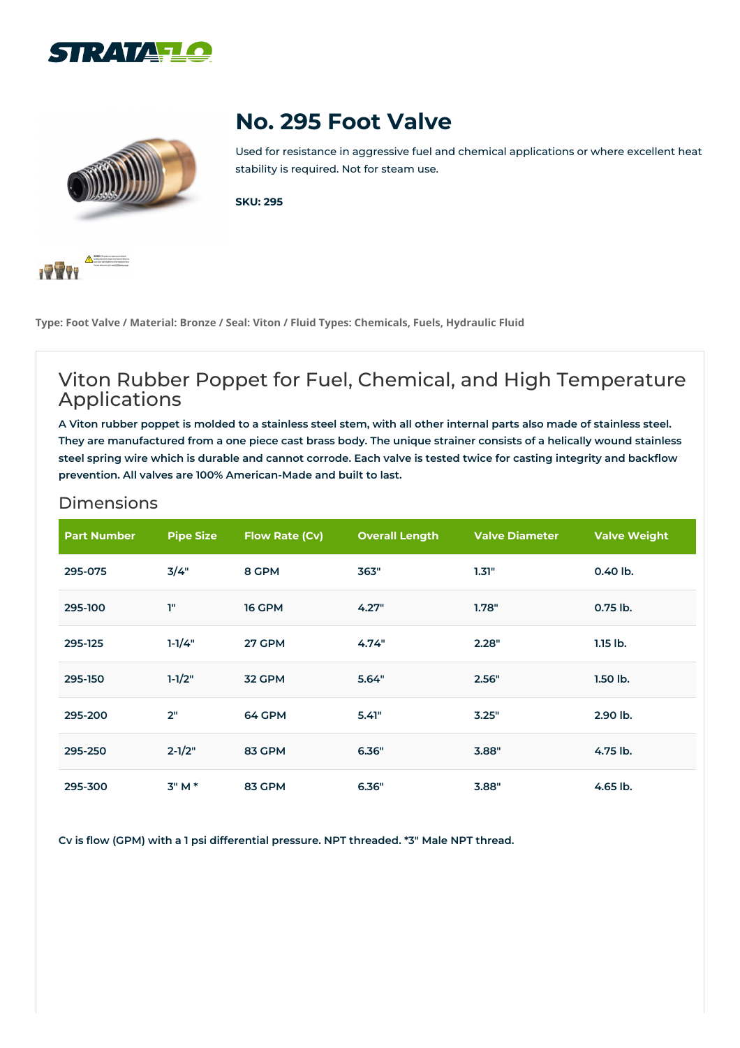



## **No. 295 Foot Valve**

Used for resistance in aggressive fuel and chemical applications or where excellent heat stability is required. Not for steam use.

**SKU: 295**



**Type: Foot Valve / Material: Bronze / Seal: Viton / Fluid Types: Chemicals, Fuels, Hydraulic Fluid**

## Viton Rubber Poppet for Fuel, Chemical, and High Temperature Applications

A Viton rubber poppet is molded to a stainless steel stem, with all other internal parts also made of stainless steel. They are manufactured from a one piece cast brass body. The unique strainer consists of a helically wound stainless steel spring wire which is durable and cannot corrode. Each valve is tested twice for casting integrity and backflow **prevention. All valves are 100% American-Made and built to last.**

| <b>Dimensions</b> |  |  |  |  |
|-------------------|--|--|--|--|
|                   |  |  |  |  |
|                   |  |  |  |  |

| <b>Part Number</b> | <b>Pipe Size</b> | <b>Flow Rate (Cv)</b> | <b>Overall Length</b> | <b>Valve Diameter</b> | <b>Valve Weight</b> |
|--------------------|------------------|-----------------------|-----------------------|-----------------------|---------------------|
| 295-075            | 3/4"             | 8 GPM                 | 363"                  | 1.31"                 | 0.40 lb.            |
| 295-100            | T"               | <b>16 GPM</b>         | 4.27"                 | 1.78"                 | $0.75$ lb.          |
| 295-125            | $1-1/4"$         | 27 GPM                | 4.74"                 | 2.28"                 | $1.15$ lb.          |
| 295-150            | $1 - 1/2"$       | 32 GPM                | 5.64"                 | 2.56"                 | $1.50$ lb.          |
| 295-200            | 2"               | 64 GPM                | 5.41"                 | 3.25"                 | 2.90 lb.            |
| 295-250            | $2 - 1/2"$       | 83 GPM                | 6.36"                 | 3.88"                 | 4.75 lb.            |
| 295-300            | $3"M*$           | 83 GPM                | 6.36"                 | 3.88"                 | $4.65$ lb.          |

**Cv is flow (GPM) with a 1 psi differential pressure. NPT threaded. \*3" Male NPT thread.**